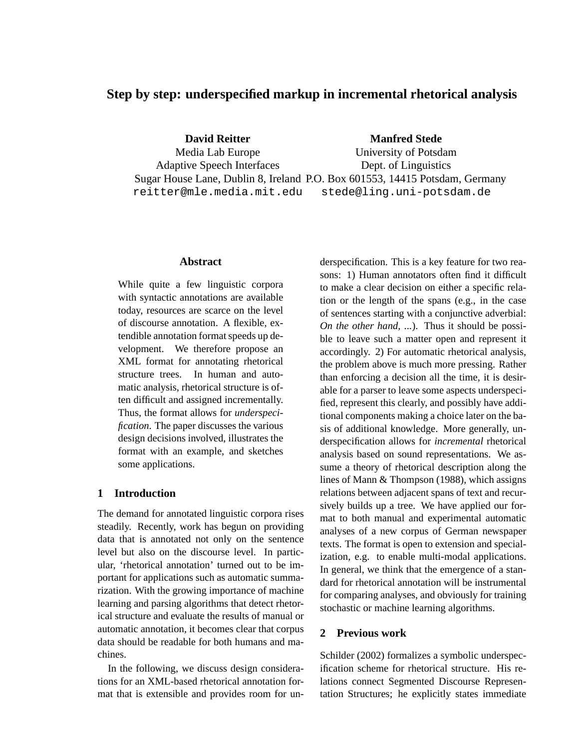# **Step by step: underspecified markup in incremental rhetorical analysis**

**David Reitter**

**Manfred Stede**

Media Lab Europe Adaptive Speech Interfaces Sugar House Lane, Dublin 8, Ireland P.O. Box 601553, 14415 Potsdam, Germany reitter@mle.media.mit.edu University of Potsdam Dept. of Linguistics stede@ling.uni-potsdam.de

#### **Abstract**

While quite a few linguistic corpora with syntactic annotations are available today, resources are scarce on the level of discourse annotation. A flexible, extendible annotation format speeds up development. We therefore propose an XML format for annotating rhetorical structure trees. In human and automatic analysis, rhetorical structure is often difficult and assigned incrementally. Thus, the format allows for *underspecification*. The paper discusses the various design decisions involved, illustrates the format with an example, and sketches some applications.

## **1 Introduction**

The demand for annotated linguistic corpora rises steadily. Recently, work has begun on providing data that is annotated not only on the sentence level but also on the discourse level. In particular, 'rhetorical annotation' turned out to be important for applications such as automatic summarization. With the growing importance of machine learning and parsing algorithms that detect rhetorical structure and evaluate the results of manual or automatic annotation, it becomes clear that corpus data should be readable for both humans and machines.

In the following, we discuss design considerations for an XML-based rhetorical annotation format that is extensible and provides room for underspecification. This is a key feature for two reasons: 1) Human annotators often find it difficult to make a clear decision on either a specific relation or the length of the spans (e.g., in the case of sentences starting with a conjunctive adverbial: *On the other hand, ...*). Thus it should be possible to leave such a matter open and represent it accordingly. 2) For automatic rhetorical analysis, the problem above is much more pressing. Rather than enforcing a decision all the time, it is desirable for a parser to leave some aspects underspecified, represent this clearly, and possibly have additional components making a choice later on the basis of additional knowledge. More generally, underspecification allows for *incremental* rhetorical analysis based on sound representations. We assume a theory of rhetorical description along the lines of Mann & Thompson (1988), which assigns relations between adjacent spans of text and recursively builds up a tree. We have applied our format to both manual and experimental automatic analyses of a new corpus of German newspaper texts. The format is open to extension and specialization, e.g. to enable multi-modal applications. In general, we think that the emergence of a standard for rhetorical annotation will be instrumental for comparing analyses, and obviously for training stochastic or machine learning algorithms.

## **2 Previous work**

Schilder (2002) formalizes a symbolic underspecification scheme for rhetorical structure. His relations connect Segmented Discourse Representation Structures; he explicitly states immediate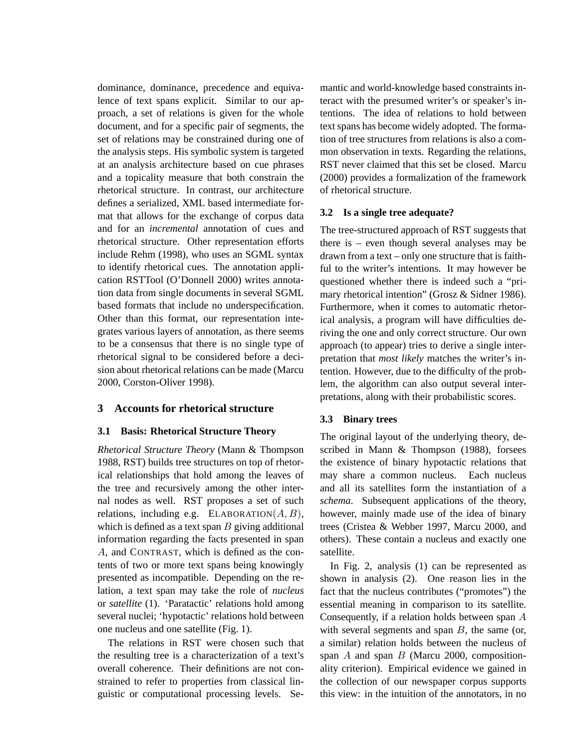dominance, dominance, precedence and equivalence of text spans explicit. Similar to our approach, a set of relations is given for the whole document, and for a specific pair of segments, the set of relations may be constrained during one of the analysis steps. His symbolic system is targeted at an analysis architecture based on cue phrases and a topicality measure that both constrain the rhetorical structure. In contrast, our architecture defines a serialized, XML based intermediate format that allows for the exchange of corpus data and for an *incremental* annotation of cues and rhetorical structure. Other representation efforts include Rehm (1998), who uses an SGML syntax to identify rhetorical cues. The annotation application RSTTool (O'Donnell 2000) writes annotation data from single documents in several SGML based formats that include no underspecification. Other than this format, our representation integrates various layers of annotation, as there seems to be a consensus that there is no single type of rhetorical signal to be considered before a decision about rhetorical relations can be made (Marcu 2000, Corston-Oliver 1998).

# **3 Accounts for rhetorical structure**

## **3.1 Basis: Rhetorical Structure Theory**

*Rhetorical Structure Theory* (Mann & Thompson 1988, RST) builds tree structures on top of rhetorical relationships that hold among the leaves of the tree and recursively among the other internal nodes as well. RST proposes a set of such relations, including e.g. ELABORATION $(A, B)$ , which is defined as a text span  $B$  giving additional information regarding the facts presented in span A, and CONTRAST, which is defined as the contents of two or more text spans being knowingly presented as incompatible. Depending on the relation, a text span may take the role of *nucleus* or *satellite* (1). 'Paratactic' relations hold among several nuclei; 'hypotactic' relations hold between one nucleus and one satellite (Fig. 1).

The relations in RST were chosen such that the resulting tree is a characterization of a text's overall coherence. Their definitions are not constrained to refer to properties from classical linguistic or computational processing levels. Semantic and world-knowledge based constraints interact with the presumed writer's or speaker's intentions. The idea of relations to hold between text spans has become widely adopted. The formation of tree structures from relations is also a common observation in texts. Regarding the relations, RST never claimed that this set be closed. Marcu (2000) provides a formalization of the framework of rhetorical structure.

#### **3.2 Is a single tree adequate?**

The tree-structured approach of RST suggests that there is – even though several analyses may be drawn from a text – only one structure that is faithful to the writer's intentions. It may however be questioned whether there is indeed such a "primary rhetorical intention" (Grosz & Sidner 1986). Furthermore, when it comes to automatic rhetorical analysis, a program will have difficulties deriving the one and only correct structure. Our own approach (to appear) tries to derive a single interpretation that *most likely* matches the writer's intention. However, due to the difficulty of the problem, the algorithm can also output several interpretations, along with their probabilistic scores.

#### **3.3 Binary trees**

The original layout of the underlying theory, described in Mann & Thompson (1988), forsees the existence of binary hypotactic relations that may share a common nucleus. Each nucleus and all its satellites form the instantiation of a *schema*. Subsequent applications of the theory, however, mainly made use of the idea of binary trees (Cristea & Webber 1997, Marcu 2000, and others). These contain a nucleus and exactly one satellite.

In Fig. 2, analysis (1) can be represented as shown in analysis (2). One reason lies in the fact that the nucleus contributes ("promotes") the essential meaning in comparison to its satellite. Consequently, if a relation holds between span A with several segments and span  $B$ , the same (or, a similar) relation holds between the nucleus of span  $A$  and span  $B$  (Marcu 2000, compositionality criterion). Empirical evidence we gained in the collection of our newspaper corpus supports this view: in the intuition of the annotators, in no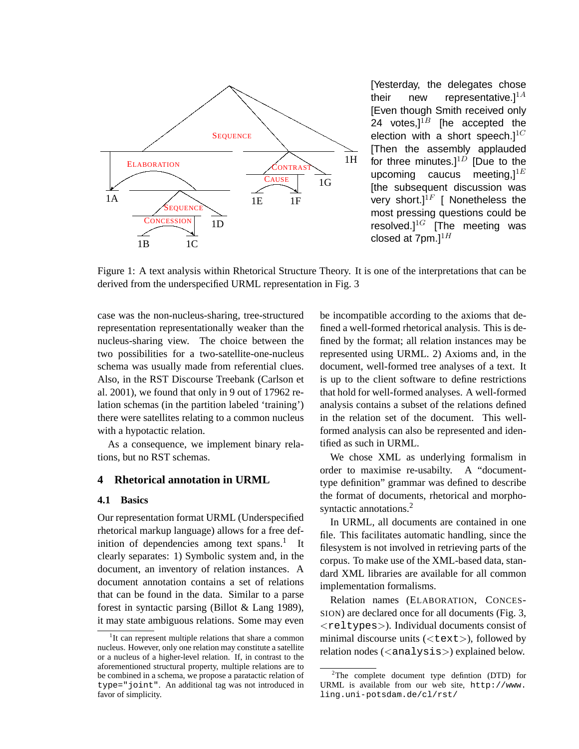

[Yesterday, the delegates chose their new representative. $]^{1A}$ [Even though Smith received only 24 votes, $l^{1B}$  [he accepted the election with a short speech. $]^{1C}$ [Then the assembly applauded for three minutes. $]^{1D}$  [Due to the upcoming caucus meeting, $l^{1E}$ [the subsequent discussion was very short.]<sup>1F</sup> [ Nonetheless the most pressing questions could be resolved. $]$ <sup>1G</sup> [The meeting was closed at  $7$ pm.] $^{1H}$ 

Figure 1: A text analysis within Rhetorical Structure Theory. It is one of the interpretations that can be derived from the underspecified URML representation in Fig. 3

case was the non-nucleus-sharing, tree-structured representation representationally weaker than the nucleus-sharing view. The choice between the two possibilities for a two-satellite-one-nucleus schema was usually made from referential clues. Also, in the RST Discourse Treebank (Carlson et al. 2001), we found that only in 9 out of 17962 relation schemas (in the partition labeled 'training') there were satellites relating to a common nucleus with a hypotactic relation.

As a consequence, we implement binary relations, but no RST schemas.

# **4 Rhetorical annotation in URML**

#### **4.1 Basics**

Our representation format URML (Underspecified rhetorical markup language) allows for a free definition of dependencies among text spans.<sup>1</sup> It clearly separates: 1) Symbolic system and, in the document, an inventory of relation instances. A document annotation contains a set of relations that can be found in the data. Similar to a parse forest in syntactic parsing (Billot & Lang 1989), it may state ambiguous relations. Some may even be incompatible according to the axioms that defined a well-formed rhetorical analysis. This is defined by the format; all relation instances may be represented using URML. 2) Axioms and, in the document, well-formed tree analyses of a text. It is up to the client software to define restrictions that hold for well-formed analyses. A well-formed analysis contains a subset of the relations defined in the relation set of the document. This wellformed analysis can also be represented and identified as such in URML.

We chose XML as underlying formalism in order to maximise re-usabilty. A "documenttype definition" grammar was defined to describe the format of documents, rhetorical and morphosyntactic annotations.<sup>2</sup>

In URML, all documents are contained in one file. This facilitates automatic handling, since the filesystem is not involved in retrieving parts of the corpus. To make use of the XML-based data, standard XML libraries are available for all common implementation formalisms.

Relation names (ELABORATION, CONCES-SION) are declared once for all documents (Fig. 3, <reltypes>). Individual documents consist of minimal discourse units  $(\langle \text{text}\rangle)$ , followed by relation nodes (<analysis>) explained below.

<sup>&</sup>lt;sup>1</sup>It can represent multiple relations that share a common nucleus. However, only one relation may constitute a satellite or a nucleus of a higher-level relation. If, in contrast to the aforementioned structural property, multiple relations are to be combined in a schema, we propose a paratactic relation of type="joint". An additional tag was not introduced in favor of simplicity.

<sup>2</sup>The complete document type defintion (DTD) for URML is available from our web site, http://www. ling.uni-potsdam.de/cl/rst/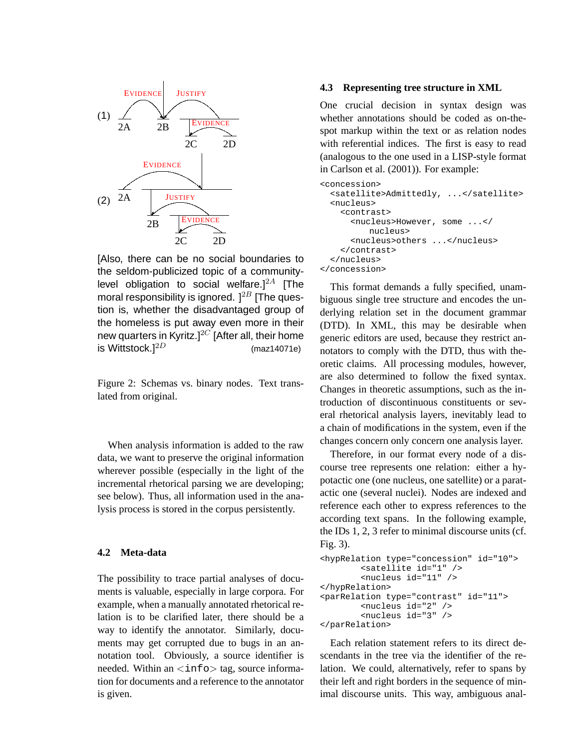

[Also, there can be no social boundaries to the seldom-publicized topic of a communitylevel obligation to social welfare. $]^{2A}$  [The moral responsibility is ignored.  $]^{2B}$  [The question is, whether the disadvantaged group of the homeless is put away even more in their new quarters in Kyritz.]<sup>2C</sup> [After all, their home is Wittstock.]<sup>2D</sup> (maz14071e)

Figure 2: Schemas vs. binary nodes. Text translated from original.

When analysis information is added to the raw data, we want to preserve the original information wherever possible (especially in the light of the incremental rhetorical parsing we are developing; see below). Thus, all information used in the analysis process is stored in the corpus persistently.

#### **4.2 Meta-data**

The possibility to trace partial analyses of documents is valuable, especially in large corpora. For example, when a manually annotated rhetorical relation is to be clarified later, there should be a way to identify the annotator. Similarly, documents may get corrupted due to bugs in an annotation tool. Obviously, a source identifier is needed. Within an  $\langle \text{info} \rangle$  tag, source information for documents and a reference to the annotator is given.

## **4.3 Representing tree structure in XML**

One crucial decision in syntax design was whether annotations should be coded as on-thespot markup within the text or as relation nodes with referential indices. The first is easy to read (analogous to the one used in a LISP-style format in Carlson et al. (2001)). For example:

```
<concession>
  <satellite>Admittedly, ...</satellite>
  <nucleus>
    <contrast>
      <nucleus>However, some ...</
         nucleus>
      <nucleus>others ...</nucleus>
    </contrast>
  </nucleus>
</concession>
```
This format demands a fully specified, unambiguous single tree structure and encodes the underlying relation set in the document grammar (DTD). In XML, this may be desirable when generic editors are used, because they restrict annotators to comply with the DTD, thus with theoretic claims. All processing modules, however, are also determined to follow the fixed syntax. Changes in theoretic assumptions, such as the introduction of discontinuous constituents or several rhetorical analysis layers, inevitably lead to a chain of modifications in the system, even if the changes concern only concern one analysis layer.

Therefore, in our format every node of a discourse tree represents one relation: either a hypotactic one (one nucleus, one satellite) or a paratactic one (several nuclei). Nodes are indexed and reference each other to express references to the according text spans. In the following example, the IDs 1, 2, 3 refer to minimal discourse units (cf. Fig. 3).

```
<hypRelation type="concession" id="10">
        <satellite id="1" />
        <nucleus id="11" />
</hypRelation>
<parRelation type="contrast" id="11">
        <nucleus id="2" />
        <nucleus id="3" />
</parRelation>
```
Each relation statement refers to its direct descendants in the tree via the identifier of the relation. We could, alternatively, refer to spans by their left and right borders in the sequence of minimal discourse units. This way, ambiguous anal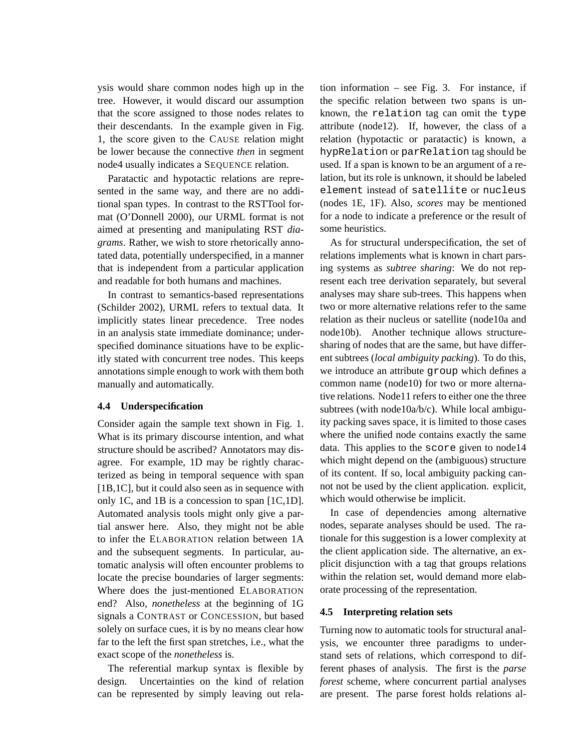ysis would share common nodes high up in the tree. However, it would discard our assumption that the score assigned to those nodes relates to their descendants. In the example given in Fig. 1, the score given to the CAUSE relation might be lower because the connective *then* in segment node4 usually indicates a SEQUENCE relation.

Paratactic and hypotactic relations are represented in the same way, and there are no additional span types. In contrast to the RSTTool format (O'Donnell 2000), our URML format is not aimed at presenting and manipulating RST *diagrams*. Rather, we wish to store rhetorically annotated data, potentially underspecified, in a manner that is independent from a particular application and readable for both humans and machines.

In contrast to semantics-based representations (Schilder 2002), URML refers to textual data. It implicitly states linear precedence. Tree nodes in an analysis state immediate dominance; underspecified dominance situations have to be explicitly stated with concurrent tree nodes. This keeps annotations simple enough to work with them both manually and automatically.

## **4.4 Underspecification**

Consider again the sample text shown in Fig. 1. What is its primary discourse intention, and what structure should be ascribed? Annotators may disagree. For example, 1D may be rightly characterized as being in temporal sequence with span [1B,1C], but it could also seen as in sequence with only 1C, and 1B is a concession to span [1C,1D]. Automated analysis tools might only give a partial answer here. Also, they might not be able to infer the ELABORATION relation between 1A and the subsequent segments. In particular, automatic analysis will often encounter problems to locate the precise boundaries of larger segments: Where does the just-mentioned ELABORATION end? Also, *nonetheless* at the beginning of 1G signals a CONTRAST or CONCESSION, but based solely on surface cues, it is by no means clear how far to the left the first span stretches, i.e., what the exact scope of the *nonetheless* is.

The referential markup syntax is flexible by design. Uncertainties on the kind of relation can be represented by simply leaving out relation information – see Fig. 3. For instance, if the specific relation between two spans is unknown, the relation tag can omit the type attribute (node12). If, however, the class of a relation (hypotactic or paratactic) is known, a hypRelation or parRelation tag should be used. If a span is known to be an argument of a relation, but its role is unknown, it should be labeled element instead of satellite or nucleus (nodes 1E, 1F). Also, *scores* may be mentioned for a node to indicate a preference or the result of some heuristics.

As for structural underspecification, the set of relations implements what is known in chart parsing systems as *subtree sharing*: We do not represent each tree derivation separately, but several analyses may share sub-trees. This happens when two or more alternative relations refer to the same relation as their nucleus or satellite (node10a and node10b). Another technique allows structuresharing of nodes that are the same, but have different subtrees (*local ambiguity packing*). To do this, we introduce an attribute group which defines a common name (node10) for two or more alternative relations. Node11 refers to either one the three subtrees (with node10a/b/c). While local ambiguity packing saves space, it is limited to those cases where the unified node contains exactly the same data. This applies to the score given to node14 which might depend on the (ambiguous) structure of its content. If so, local ambiguity packing cannot not be used by the client application. explicit, which would otherwise be implicit.

In case of dependencies among alternative nodes, separate analyses should be used. The rationale for this suggestion is a lower complexity at the client application side. The alternative, an explicit disjunction with a tag that groups relations within the relation set, would demand more elaborate processing of the representation.

#### **4.5 Interpreting relation sets**

Turning now to automatic tools for structural analysis, we encounter three paradigms to understand sets of relations, which correspond to different phases of analysis. The first is the *parse forest* scheme, where concurrent partial analyses are present. The parse forest holds relations al-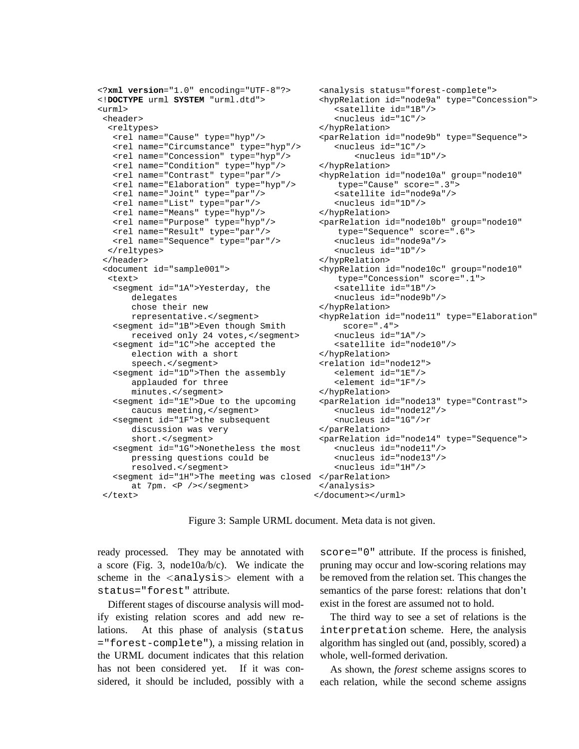```
<?xml version="1.0" encoding="UTF-8"?>
<!DOCTYPE urml SYSTEM "urml.dtd">
<urml>
 <header>
  <reltypes>
   <rel name="Cause" type="hyp"/>
   <rel name="Circumstance" type="hyp"/>
   <rel name="Concession" type="hyp"/>
   <rel name="Condition" type="hyp"/>
   <rel name="Contrast" type="par"/>
   <rel name="Elaboration" type="hyp"/>
   <rel name="Joint" type="par"/>
   <rel name="List" type="par"/>
   <rel name="Means" type="hyp"/>
   <rel name="Purpose" type="hyp"/>
   <rel name="Result" type="par"/>
   <rel name="Sequence" type="par"/>
  </reltypes>
 </header>
 <document id="sample001">
  <text>
   <segment id="1A">Yesterday, the
      delegates
      chose their new
      representative.</segment>
   <segment id="1B">Even though Smith
      received only 24 votes, </segment>
   <segment id="1C">he accepted the
      election with a short
      speech.</segment>
   <segment id="1D">Then the assembly
      applauded for three
      minutes.</segment>
   <segment id="1E">Due to the upcoming
      caucus meeting, </segment>
   <segment id="1F">the subsequent
      discussion was very
      short.</segment>
   <segment id="1G">Nonetheless the most
      pressing questions could be
      resolved.</segment>
   <segment id="1H">The meeting was closed
</parRelation>
      at 7pm. <P />> /></segment>
 </text>
                                            <analysis status="forest-complete">
                                            </hypRelation>
                                            </hypRelation>
                                            </parRelation>
                                            </analysis>
                                           </document></urml>
```
<hypRelation id="node9a" type="Concession"> <satellite id="1B"/> <nucleus id="1C"/> </hypRelation> <parRelation id="node9b" type="Sequence"> <nucleus id="1C"/> <nucleus id="1D"/> </hypRelation> <hypRelation id="node10a" group="node10" type="Cause" score=".3"> <satellite id="node9a"/> <nucleus id="1D"/> <parRelation id="node10b" group="node10" type="Sequence" score=".6"> <nucleus id="node9a"/> <nucleus id="1D"/> </hypRelation> <hypRelation id="node10c" group="node10" type="Concession" score=".1"> <satellite id="1B"/> <nucleus id="node9b"/> <hypRelation id="node11" type="Elaboration" score=".4"> <nucleus id="1A"/> <satellite id="node10"/> </hypRelation> <relation id="node12"> <element id="1E"/> <element id="1F"/> </hypRelation> <parRelation id="node13" type="Contrast"> <nucleus id="node12"/> <nucleus id="1G"/>r <parRelation id="node14" type="Sequence"> <nucleus id="node11"/> <nucleus id="node13"/> <nucleus id="1H"/>

Figure 3: Sample URML document. Meta data is not given.

ready processed. They may be annotated with a score (Fig. 3, node10a/b/c). We indicate the scheme in the <analysis> element with a status="forest" attribute.

Different stages of discourse analysis will modify existing relation scores and add new relations. At this phase of analysis (status ="forest-complete"), a missing relation in the URML document indicates that this relation has not been considered yet. If it was considered, it should be included, possibly with a score="0" attribute. If the process is finished, pruning may occur and low-scoring relations may be removed from the relation set. This changes the semantics of the parse forest: relations that don't exist in the forest are assumed not to hold.

The third way to see a set of relations is the interpretation scheme. Here, the analysis algorithm has singled out (and, possibly, scored) a whole, well-formed derivation.

As shown, the *forest* scheme assigns scores to each relation, while the second scheme assigns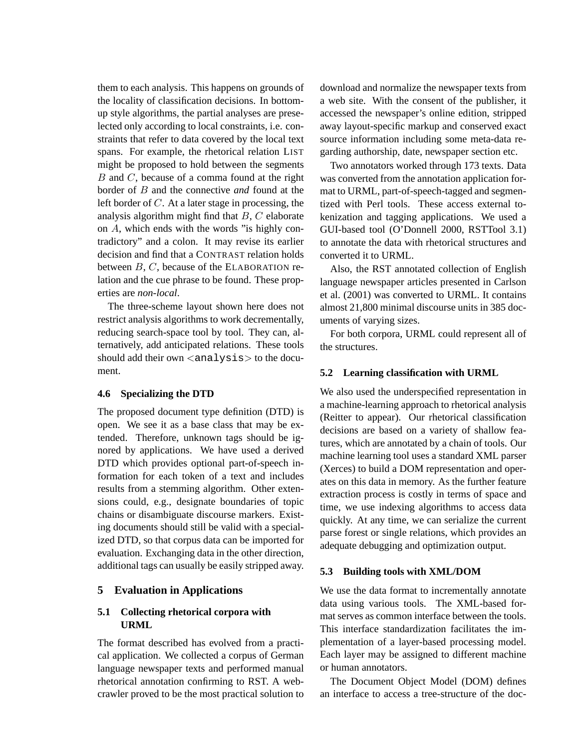them to each analysis. This happens on grounds of the locality of classification decisions. In bottomup style algorithms, the partial analyses are preselected only according to local constraints, i.e. constraints that refer to data covered by the local text spans. For example, the rhetorical relation LIST might be proposed to hold between the segments  $B$  and  $C$ , because of a comma found at the right border of B and the connective *and* found at the left border of C. At a later stage in processing, the analysis algorithm might find that B, C elaborate on A, which ends with the words "is highly contradictory" and a colon. It may revise its earlier decision and find that a CONTRAST relation holds between  $B, C$ , because of the ELABORATION relation and the cue phrase to be found. These properties are *non-local*.

The three-scheme layout shown here does not restrict analysis algorithms to work decrementally, reducing search-space tool by tool. They can, alternatively, add anticipated relations. These tools should add their own  $\langle$ analysis $>$  to the document.

## **4.6 Specializing the DTD**

The proposed document type definition (DTD) is open. We see it as a base class that may be extended. Therefore, unknown tags should be ignored by applications. We have used a derived DTD which provides optional part-of-speech information for each token of a text and includes results from a stemming algorithm. Other extensions could, e.g., designate boundaries of topic chains or disambiguate discourse markers. Existing documents should still be valid with a specialized DTD, so that corpus data can be imported for evaluation. Exchanging data in the other direction, additional tags can usually be easily stripped away.

## **5 Evaluation in Applications**

## **5.1 Collecting rhetorical corpora with URML**

The format described has evolved from a practical application. We collected a corpus of German language newspaper texts and performed manual rhetorical annotation confirming to RST. A webcrawler proved to be the most practical solution to

download and normalize the newspaper texts from a web site. With the consent of the publisher, it accessed the newspaper's online edition, stripped away layout-specific markup and conserved exact source information including some meta-data regarding authorship, date, newspaper section etc.

Two annotators worked through 173 texts. Data was converted from the annotation application format to URML, part-of-speech-tagged and segmentized with Perl tools. These access external tokenization and tagging applications. We used a GUI-based tool (O'Donnell 2000, RSTTool 3.1) to annotate the data with rhetorical structures and converted it to URML.

Also, the RST annotated collection of English language newspaper articles presented in Carlson et al. (2001) was converted to URML. It contains almost 21,800 minimal discourse units in 385 documents of varying sizes.

For both corpora, URML could represent all of the structures.

#### **5.2 Learning classification with URML**

We also used the underspecified representation in a machine-learning approach to rhetorical analysis (Reitter to appear). Our rhetorical classification decisions are based on a variety of shallow features, which are annotated by a chain of tools. Our machine learning tool uses a standard XML parser (Xerces) to build a DOM representation and operates on this data in memory. As the further feature extraction process is costly in terms of space and time, we use indexing algorithms to access data quickly. At any time, we can serialize the current parse forest or single relations, which provides an adequate debugging and optimization output.

#### **5.3 Building tools with XML/DOM**

We use the data format to incrementally annotate data using various tools. The XML-based format serves as common interface between the tools. This interface standardization facilitates the implementation of a layer-based processing model. Each layer may be assigned to different machine or human annotators.

The Document Object Model (DOM) defines an interface to access a tree-structure of the doc